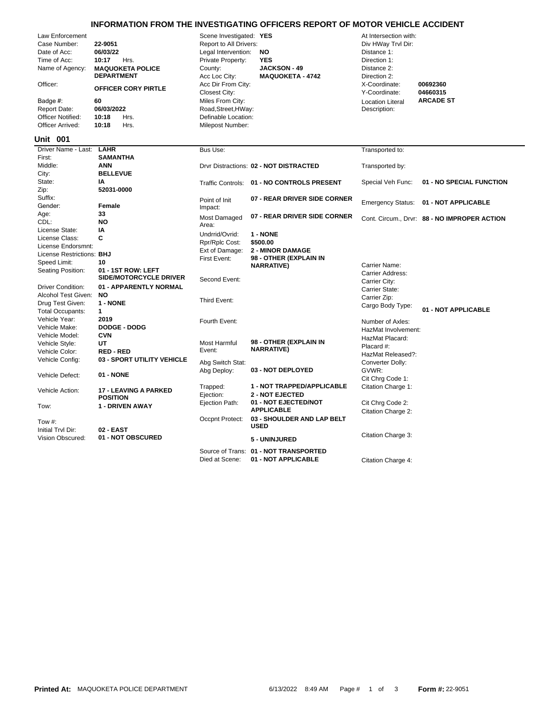## **INFORMATION FROM THE INVESTIGATING OFFICERS REPORT OF MOTOR VEHICLE ACCIDENT**

| Law Enforcement<br>Case Number:<br>Date of Acc:<br>Time of Acc:<br>Name of Agency:<br>Officer:<br>Badge #:<br><b>Report Date:</b><br><b>Officer Notified:</b><br>Officer Arrived:<br><b>Unit 001</b> | 22-9051<br>06/03/22<br>10:17<br>Hrs.<br><b>MAQUOKETA POLICE</b><br><b>DEPARTMENT</b><br><b>OFFICER CORY PIRTLE</b><br>60<br>06/03/2022<br>10:18<br>Hrs.<br>Hrs.<br>10:18 | Scene Investigated: YES<br>Report to All Drivers:<br>Legal Intervention:<br>Private Property:<br>County:<br>Acc Loc City:<br>Acc Dir From City:<br>Closest City:<br>Miles From City:<br>Road, Street, HWay:<br>Definable Location:<br>Milepost Number: | NO<br><b>YES</b><br><b>JACKSON - 49</b><br><b>MAQUOKETA - 4742</b> | At Intersection with:<br>Div HWay Trvl Dir:<br>Distance 1:<br>Direction 1:<br>Distance 2:<br>Direction 2:<br>X-Coordinate:<br>Y-Coordinate:<br><b>Location Literal</b><br>Description: | 00692360<br>04660315<br><b>ARCADE ST</b>     |
|------------------------------------------------------------------------------------------------------------------------------------------------------------------------------------------------------|--------------------------------------------------------------------------------------------------------------------------------------------------------------------------|--------------------------------------------------------------------------------------------------------------------------------------------------------------------------------------------------------------------------------------------------------|--------------------------------------------------------------------|----------------------------------------------------------------------------------------------------------------------------------------------------------------------------------------|----------------------------------------------|
| Driver Name - Last:                                                                                                                                                                                  | <b>LAHR</b>                                                                                                                                                              | Bus Use:                                                                                                                                                                                                                                               |                                                                    | Transported to:                                                                                                                                                                        |                                              |
| First:                                                                                                                                                                                               | <b>SAMANTHA</b>                                                                                                                                                          |                                                                                                                                                                                                                                                        |                                                                    |                                                                                                                                                                                        |                                              |
| Middle:                                                                                                                                                                                              | <b>ANN</b>                                                                                                                                                               |                                                                                                                                                                                                                                                        | Drvr Distractions: 02 - NOT DISTRACTED                             | Transported by:                                                                                                                                                                        |                                              |
| City:                                                                                                                                                                                                | <b>BELLEVUE</b>                                                                                                                                                          |                                                                                                                                                                                                                                                        |                                                                    |                                                                                                                                                                                        |                                              |
| State:                                                                                                                                                                                               | ΙA                                                                                                                                                                       |                                                                                                                                                                                                                                                        | Traffic Controls: 01 - NO CONTROLS PRESENT                         | Special Veh Func:                                                                                                                                                                      | 01 - NO SPECIAL FUNCTION                     |
| Zip:                                                                                                                                                                                                 | 52031-0000                                                                                                                                                               |                                                                                                                                                                                                                                                        |                                                                    |                                                                                                                                                                                        |                                              |
| Suffix:                                                                                                                                                                                              |                                                                                                                                                                          | Point of Init                                                                                                                                                                                                                                          | 07 - REAR DRIVER SIDE CORNER                                       | <b>Emergency Status:</b>                                                                                                                                                               | 01 - NOT APPLICABLE                          |
| Gender:                                                                                                                                                                                              | Female                                                                                                                                                                   | Impact:                                                                                                                                                                                                                                                |                                                                    |                                                                                                                                                                                        |                                              |
| Age:<br>CDL:                                                                                                                                                                                         | 33<br><b>NO</b>                                                                                                                                                          | <b>Most Damaged</b>                                                                                                                                                                                                                                    | 07 - REAR DRIVER SIDE CORNER                                       |                                                                                                                                                                                        | Cont. Circum., Drvr: 88 - NO IMPROPER ACTION |
| License State:                                                                                                                                                                                       | IA                                                                                                                                                                       | Area:                                                                                                                                                                                                                                                  |                                                                    |                                                                                                                                                                                        |                                              |
| License Class:                                                                                                                                                                                       | С                                                                                                                                                                        | Undrrid/Ovrid:                                                                                                                                                                                                                                         | 1 - NONE                                                           |                                                                                                                                                                                        |                                              |
| License Endorsmnt:                                                                                                                                                                                   |                                                                                                                                                                          | Rpr/Rplc Cost:                                                                                                                                                                                                                                         | \$500.00                                                           |                                                                                                                                                                                        |                                              |
| License Restrictions: BHJ                                                                                                                                                                            |                                                                                                                                                                          | Ext of Damage:                                                                                                                                                                                                                                         | <b>2 - MINOR DAMAGE</b>                                            |                                                                                                                                                                                        |                                              |
| Speed Limit:                                                                                                                                                                                         | 10                                                                                                                                                                       | First Event:                                                                                                                                                                                                                                           | 98 - OTHER (EXPLAIN IN                                             |                                                                                                                                                                                        |                                              |
| Seating Position:                                                                                                                                                                                    | 01 - 1ST ROW: LEFT                                                                                                                                                       |                                                                                                                                                                                                                                                        | <b>NARRATIVE)</b>                                                  | Carrier Name:                                                                                                                                                                          |                                              |
|                                                                                                                                                                                                      | <b>SIDE/MOTORCYCLE DRIVER</b>                                                                                                                                            | Second Event:                                                                                                                                                                                                                                          |                                                                    | <b>Carrier Address:</b>                                                                                                                                                                |                                              |
| <b>Driver Condition:</b>                                                                                                                                                                             | 01 - APPARENTLY NORMAL                                                                                                                                                   |                                                                                                                                                                                                                                                        |                                                                    | Carrier City:<br>Carrier State:                                                                                                                                                        |                                              |
| Alcohol Test Given:                                                                                                                                                                                  | <b>NO</b>                                                                                                                                                                |                                                                                                                                                                                                                                                        |                                                                    | Carrier Zip:                                                                                                                                                                           |                                              |
| Drug Test Given:                                                                                                                                                                                     | 1 - NONE                                                                                                                                                                 | Third Event:                                                                                                                                                                                                                                           |                                                                    | Cargo Body Type:                                                                                                                                                                       |                                              |
| <b>Total Occupants:</b>                                                                                                                                                                              | $\mathbf{1}$                                                                                                                                                             |                                                                                                                                                                                                                                                        |                                                                    |                                                                                                                                                                                        | 01 - NOT APPLICABLE                          |
| Vehicle Year:                                                                                                                                                                                        | 2019                                                                                                                                                                     | Fourth Event:                                                                                                                                                                                                                                          |                                                                    | Number of Axles:                                                                                                                                                                       |                                              |
| Vehicle Make:                                                                                                                                                                                        | <b>DODGE - DODG</b>                                                                                                                                                      |                                                                                                                                                                                                                                                        |                                                                    | HazMat Involvement:                                                                                                                                                                    |                                              |
| Vehicle Model:                                                                                                                                                                                       | <b>CVN</b>                                                                                                                                                               |                                                                                                                                                                                                                                                        |                                                                    | HazMat Placard:                                                                                                                                                                        |                                              |
| Vehicle Style:                                                                                                                                                                                       | UT                                                                                                                                                                       | <b>Most Harmful</b>                                                                                                                                                                                                                                    | 98 - OTHER (EXPLAIN IN                                             | Placard #:                                                                                                                                                                             |                                              |
| Vehicle Color:                                                                                                                                                                                       | <b>RED-RED</b>                                                                                                                                                           | Event:                                                                                                                                                                                                                                                 | <b>NARRATIVE)</b>                                                  | HazMat Released?:                                                                                                                                                                      |                                              |
| Vehicle Config:                                                                                                                                                                                      | 03 - SPORT UTILITY VEHICLE                                                                                                                                               | Abg Switch Stat:                                                                                                                                                                                                                                       |                                                                    | Converter Dolly:                                                                                                                                                                       |                                              |
|                                                                                                                                                                                                      |                                                                                                                                                                          | Abg Deploy:                                                                                                                                                                                                                                            | 03 - NOT DEPLOYED                                                  | GVWR:                                                                                                                                                                                  |                                              |
| Vehicle Defect:                                                                                                                                                                                      | <b>01 - NONE</b>                                                                                                                                                         |                                                                                                                                                                                                                                                        |                                                                    | Cit Chrg Code 1:                                                                                                                                                                       |                                              |
| Vehicle Action:                                                                                                                                                                                      | <b>17 - LEAVING A PARKED</b>                                                                                                                                             | Trapped:                                                                                                                                                                                                                                               | 1 - NOT TRAPPED/APPLICABLE                                         | Citation Charge 1:                                                                                                                                                                     |                                              |
|                                                                                                                                                                                                      | <b>POSITION</b>                                                                                                                                                          | Ejection:                                                                                                                                                                                                                                              | <b>2 - NOT EJECTED</b>                                             |                                                                                                                                                                                        |                                              |
| Tow:                                                                                                                                                                                                 | 1 - DRIVEN AWAY                                                                                                                                                          | Ejection Path:                                                                                                                                                                                                                                         | 01 - NOT EJECTED/NOT                                               | Cit Chrg Code 2:                                                                                                                                                                       |                                              |
|                                                                                                                                                                                                      |                                                                                                                                                                          |                                                                                                                                                                                                                                                        | <b>APPLICABLE</b>                                                  | Citation Charge 2:                                                                                                                                                                     |                                              |
| Tow $#$ :                                                                                                                                                                                            |                                                                                                                                                                          | Occpnt Protect:                                                                                                                                                                                                                                        | 03 - SHOULDER AND LAP BELT                                         |                                                                                                                                                                                        |                                              |
| Initial Trvl Dir:                                                                                                                                                                                    | 02 - EAST                                                                                                                                                                |                                                                                                                                                                                                                                                        | <b>USED</b>                                                        |                                                                                                                                                                                        |                                              |
| Vision Obscured:                                                                                                                                                                                     | 01 - NOT OBSCURED                                                                                                                                                        |                                                                                                                                                                                                                                                        | 5 - UNINJURED                                                      | Citation Charge 3:                                                                                                                                                                     |                                              |
|                                                                                                                                                                                                      |                                                                                                                                                                          |                                                                                                                                                                                                                                                        |                                                                    |                                                                                                                                                                                        |                                              |
|                                                                                                                                                                                                      |                                                                                                                                                                          |                                                                                                                                                                                                                                                        | Source of Trans: 01 - NOT TRANSPORTED                              |                                                                                                                                                                                        |                                              |

Died at Scene: **01 - NOT APPLICABLE** Citation Charge 4: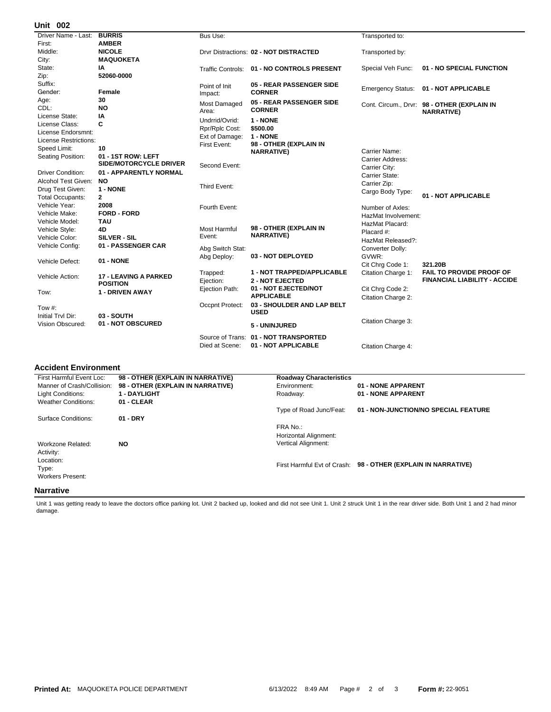## **002 Unit**

| אט טווו                  |                              |                                |                                            |                          |                                                                  |
|--------------------------|------------------------------|--------------------------------|--------------------------------------------|--------------------------|------------------------------------------------------------------|
| Driver Name - Last:      | <b>BURRIS</b>                | Bus Use:                       |                                            | Transported to:          |                                                                  |
| First:                   | <b>AMBER</b>                 |                                |                                            |                          |                                                                  |
| Middle:                  | <b>NICOLE</b>                |                                | Drvr Distractions: 02 - NOT DISTRACTED     | Transported by:          |                                                                  |
| City:                    | <b>MAQUOKETA</b>             |                                |                                            |                          |                                                                  |
| State:                   | ΙA                           |                                | Traffic Controls: 01 - NO CONTROLS PRESENT | Special Veh Func:        | 01 - NO SPECIAL FUNCTION                                         |
| Zip:                     | 52060-0000                   |                                |                                            |                          |                                                                  |
| Suffix:                  |                              | Point of Init                  | 05 - REAR PASSENGER SIDE                   |                          |                                                                  |
| Gender:                  | Female                       | Impact:                        | <b>CORNER</b>                              | <b>Emergency Status:</b> | 01 - NOT APPLICABLE                                              |
| Age:                     | 30                           | Most Damaged                   | 05 - REAR PASSENGER SIDE                   |                          |                                                                  |
| CDL:                     | NO                           | Area:                          | <b>CORNER</b>                              |                          | Cont. Circum., Drvr: 98 - OTHER (EXPLAIN IN<br><b>NARRATIVE)</b> |
| License State:           | IA                           | Undrrid/Ovrid:                 | 1 - NONE                                   |                          |                                                                  |
| License Class:           | C                            |                                | \$500.00                                   |                          |                                                                  |
| License Endorsmnt:       |                              | Rpr/Rplc Cost:                 | 1 - NONE                                   |                          |                                                                  |
| License Restrictions:    |                              | Ext of Damage:<br>First Event: | 98 - OTHER (EXPLAIN IN                     |                          |                                                                  |
| Speed Limit:             | 10                           |                                | <b>NARRATIVE)</b>                          | Carrier Name:            |                                                                  |
| Seating Position:        | 01 - 1ST ROW: LEFT           |                                |                                            | Carrier Address:         |                                                                  |
|                          | SIDE/MOTORCYCLE DRIVER       | Second Event:                  |                                            | Carrier City:            |                                                                  |
| <b>Driver Condition:</b> | 01 - APPARENTLY NORMAL       |                                |                                            | Carrier State:           |                                                                  |
| Alcohol Test Given:      | <b>NO</b>                    |                                |                                            | Carrier Zip:             |                                                                  |
| Drug Test Given:         | 1 - NONE                     | Third Event:                   |                                            | Cargo Body Type:         |                                                                  |
| <b>Total Occupants:</b>  | $\mathbf{2}$                 |                                |                                            |                          | 01 - NOT APPLICABLE                                              |
| Vehicle Year:            | 2008                         | Fourth Event:                  |                                            | Number of Axles:         |                                                                  |
| Vehicle Make:            | <b>FORD - FORD</b>           |                                |                                            | HazMat Involvement:      |                                                                  |
| Vehicle Model:           | <b>TAU</b>                   |                                |                                            | HazMat Placard:          |                                                                  |
| Vehicle Style:           | 4D                           | Most Harmful                   | 98 - OTHER (EXPLAIN IN                     | Placard #:               |                                                                  |
| Vehicle Color:           | SILVER - SIL                 | Event:                         | <b>NARRATIVE)</b>                          | HazMat Released?:        |                                                                  |
| Vehicle Config:          | 01 - PASSENGER CAR           | Abg Switch Stat:               |                                            | Converter Dolly:         |                                                                  |
|                          |                              | Abg Deploy:                    | 03 - NOT DEPLOYED                          | GVWR:                    |                                                                  |
| Vehicle Defect:          | 01 - NONE                    |                                |                                            | Cit Chrq Code 1:         | 321.20B                                                          |
|                          |                              | Trapped:                       | 1 - NOT TRAPPED/APPLICABLE                 | Citation Charge 1:       | <b>FAIL TO PROVIDE PROOF OF</b>                                  |
| Vehicle Action:          | <b>17 - LEAVING A PARKED</b> | Ejection:                      | <b>2 - NOT EJECTED</b>                     |                          | <b>FINANCIAL LIABILITY - ACCIDE</b>                              |
|                          | <b>POSITION</b>              | Ejection Path:                 | 01 - NOT EJECTED/NOT                       | Cit Chrg Code 2:         |                                                                  |
| Tow:                     | 1 - DRIVEN AWAY              |                                | <b>APPLICABLE</b>                          |                          |                                                                  |
|                          |                              | Occpnt Protect:                | 03 - SHOULDER AND LAP BELT                 | Citation Charge 2:       |                                                                  |
| Tow #:                   |                              |                                | <b>USED</b>                                |                          |                                                                  |
| Initial Trvl Dir:        | 03 - SOUTH                   |                                |                                            | Citation Charge 3:       |                                                                  |
| Vision Obscured:         | 01 - NOT OBSCURED            |                                | 5 - UNINJURED                              |                          |                                                                  |
|                          |                              | Source of Trans:               | 01 - NOT TRANSPORTED                       |                          |                                                                  |
|                          |                              | Died at Scene:                 | 01 - NOT APPLICABLE                        | Citation Charge 4:       |                                                                  |
|                          |                              |                                |                                            |                          |                                                                  |

## **Accident Environment**

| First Harmful Event Loc:   | 98 - OTHER (EXPLAIN IN NARRATIVE) | <b>Roadway Characteristics</b> |                                                               |
|----------------------------|-----------------------------------|--------------------------------|---------------------------------------------------------------|
| Manner of Crash/Collision: | 98 - OTHER (EXPLAIN IN NARRATIVE) | Environment:                   | 01 - NONE APPARENT                                            |
| Light Conditions:          | 1 - DAYLIGHT                      | Roadway:                       | 01 - NONE APPARENT                                            |
| <b>Weather Conditions:</b> | 01 - CLEAR                        |                                |                                                               |
|                            |                                   | Type of Road Junc/Feat:        | 01 - NON-JUNCTION/NO SPECIAL FEATURE                          |
| Surface Conditions:        | $01 - DRY$                        |                                |                                                               |
|                            |                                   | FRA No.:                       |                                                               |
|                            |                                   | Horizontal Alignment:          |                                                               |
| Workzone Related:          | <b>NO</b>                         | Vertical Alignment:            |                                                               |
| Activity:                  |                                   |                                |                                                               |
| Location:                  |                                   |                                |                                                               |
| Type:                      |                                   |                                | First Harmful Evt of Crash: 98 - OTHER (EXPLAIN IN NARRATIVE) |
| <b>Workers Present:</b>    |                                   |                                |                                                               |
| Nlarrativa                 |                                   |                                |                                                               |

## **Narrative**

Unit 1 was getting ready to leave the doctors office parking lot. Unit 2 backed up, looked and did not see Unit 1. Unit 2 struck Unit 1 in the rear driver side. Both Unit 1 and 2 had minor damage.